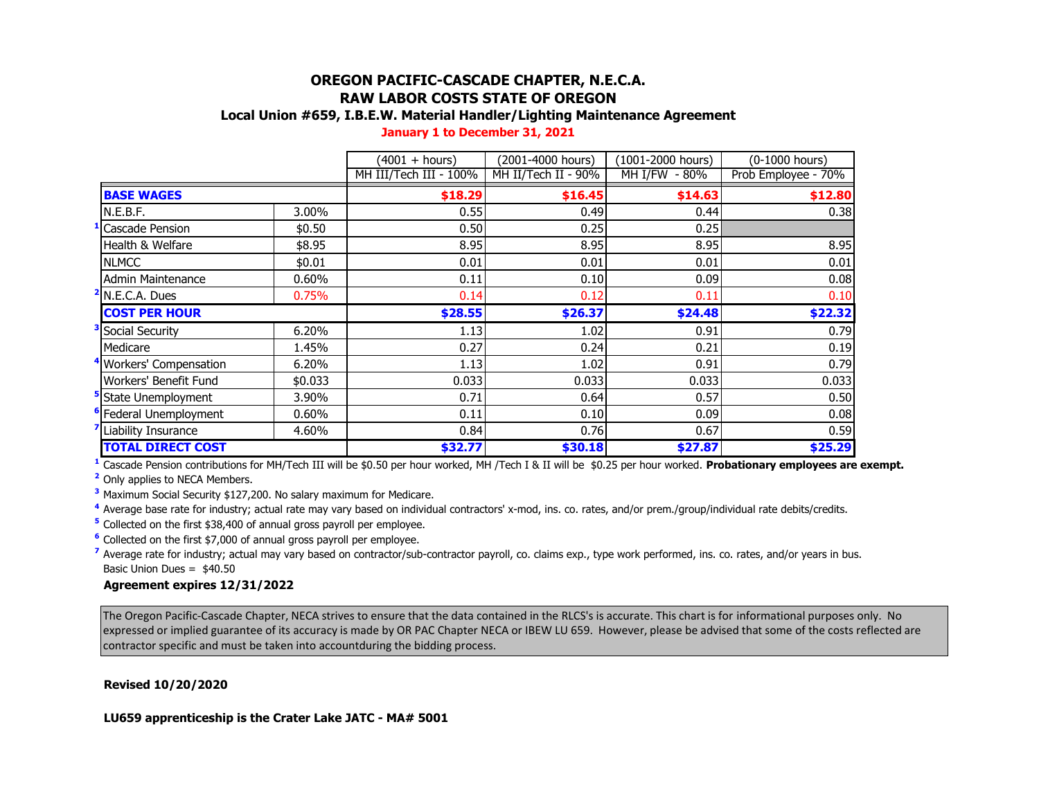# **OREGON PACIFIC-CASCADE CHAPTER, N.E.C.A. RAW LABOR COSTS STATE OF OREGON**

## **Local Union #659, I.B.E.W. Material Handler/Lighting Maintenance Agreement**

|  |  |  | January 1 to December 31, 2021 |
|--|--|--|--------------------------------|
|--|--|--|--------------------------------|

|                                                 |         | (4001 + hours)         | (2001-4000 hours)   | (1001-2000 hours) | (0-1000 hours)                  |
|-------------------------------------------------|---------|------------------------|---------------------|-------------------|---------------------------------|
|                                                 |         | MH III/Tech III - 100% | MH II/Tech II - 90% | MH I/FW - 80%     | Prob Employee - 70%             |
| <b>BASE WAGES</b>                               |         | \$18.29                | \$16.45             | \$14.63           | \$12.80                         |
| N.E.B.F.                                        | 3.00%   | 0.55                   | 0.49                | 0.44              | 0.38                            |
| <b>Cascade Pension</b>                          | \$0.50  | 0.50                   | 0.25                | 0.25              |                                 |
| Health & Welfare                                | \$8.95  | 8.95                   | 8.95                | 8.95              | 8.95                            |
| <b>NLMCC</b>                                    | \$0.01  | 0.01                   | 0.01                | 0.01              | 0.01                            |
| <b>Admin Maintenance</b>                        | 0.60%   | 0.11                   | 0.10                | 0.09              | 0.08                            |
| N.E.C.A. Dues                                   | 0.75%   | 0.14                   | 0.12                | 0.11              | 0.10                            |
|                                                 |         |                        |                     |                   |                                 |
| <b>COST PER HOUR</b>                            |         | \$28.55                | \$26.37             | \$24.48           |                                 |
| Social Security                                 | 6.20%   | 1.13                   | 1.02                | 0.91              |                                 |
| Medicare                                        | 1.45%   | 0.27                   | 0.24                | 0.21              |                                 |
| Workers' Compensation                           | 6.20%   | 1.13                   | 1.02                | 0.91              | \$22.32<br>0.79<br>0.19<br>0.79 |
| Workers' Benefit Fund                           | \$0.033 | 0.033                  | 0.033               | 0.033             |                                 |
| State Unemployment                              | 3.90%   | 0.71                   | 0.64                | 0.57              |                                 |
| Federal Unemployment                            | 0.60%   | 0.11                   | 0.10                | 0.09              |                                 |
| Liability Insurance<br><b>TOTAL DIRECT COST</b> | 4.60%   | 0.84                   | 0.76                | 0.67              | 0.033<br>0.50<br>0.08<br>0.59   |

**<sup>1</sup>** Cascade Pension contributions for MH/Tech III will be \$0.50 per hour worked, MH /Tech I & II will be \$0.25 per hour worked. **Probationary employees are exempt.**

**<sup>2</sup>** Only applies to NECA Members.

**<sup>3</sup>** Maximum Social Security \$127,200. No salary maximum for Medicare.

**<sup>4</sup>** Average base rate for industry; actual rate may vary based on individual contractors' x-mod, ins. co. rates, and/or prem./group/individual rate debits/credits.

**<sup>5</sup>** Collected on the first \$38,400 of annual gross payroll per employee.

**<sup>6</sup>** Collected on the first \$7,000 of annual gross payroll per employee.

<sup>7</sup> Average rate for industry; actual may vary based on contractor/sub-contractor payroll, co. claims exp., type work performed, ins. co. rates, and/or years in bus. Basic Union Dues = \$40.50

#### **Agreement expires 12/31/2022**

The Oregon Pacific-Cascade Chapter, NECA strives to ensure that the data contained in the RLCS's is accurate. This chart is for informational purposes only. No expressed or implied guarantee of its accuracy is made by OR PAC Chapter NECA or IBEW LU 659. However, please be advised that some of the costs reflected are contractor specific and must be taken into accountduring the bidding process.

**Revised 10/20/2020**

**LU659 apprenticeship is the Crater Lake JATC - MA# 5001**